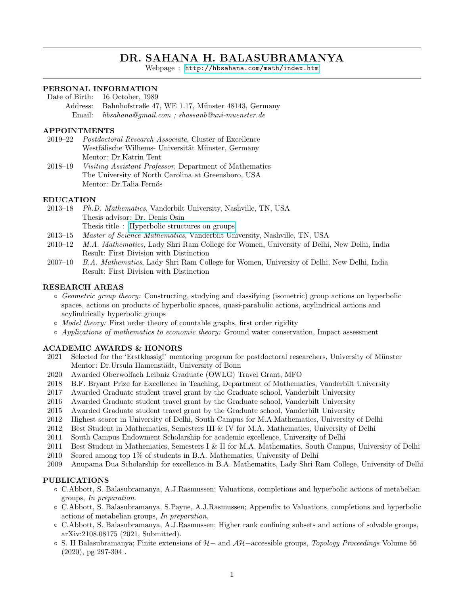# DR. SAHANA H. BALASUBRAMANYA

Webpage : <http://hbsahana.com/math/index.htm>

## PERSONAL INFORMATION

- Date of Birth: 16 October, 1989
	- Address: Bahnhofstraße 47, WE 1.17, Münster 48143, Germany Email: hbsahana@gmail.com ; shassanb@uni-muenster.de

#### APPOINTMENTS

- 2019–22 Postdoctoral Research Associate, Cluster of Excellence Westfälische Wilhems- Universität Münster, Germany Mentor: Dr.Katrin Tent
- 2018–19 Visiting Assistant Professor, Department of Mathematics The University of North Carolina at Greensboro, USA Mentor: Dr.Talia Fernós

#### EDUCATION

- 2013–18 Ph.D. Mathematics, Vanderbilt University, Nashville, TN, USA Thesis advisor: Dr. Denis Osin Thesis title : [Hyperbolic structures on groups](https://etd.library.vanderbilt.edu//available/etd-05252018-123711/)
- 2013–15 Master of Science Mathematics, Vanderbilt University, Nashville, TN, USA
- 2010–12 M.A. Mathematics, Lady Shri Ram College for Women, University of Delhi, New Delhi, India Result: First Division with Distinction
- 2007–10 B.A. Mathematics, Lady Shri Ram College for Women, University of Delhi, New Delhi, India Result: First Division with Distinction

#### RESEARCH AREAS

- Geometric group theory: Constructing, studying and classifying (isometric) group actions on hyperbolic spaces, actions on products of hyperbolic spaces, quasi-parabolic actions, acylindrical actions and acylindrically hyperbolic groups
- Model theory: First order theory of countable graphs, first order rigidity
- Applications of mathematics to economic theory: Ground water conservation, Impact assessment

#### ACADEMIC AWARDS & HONORS

- 2021 Selected for the 'Erstklassig!' mentoring program for postdoctoral researchers, University of Münster Mentor: Dr.Ursula Hamenstädt, University of Bonn
- 2020 Awarded Oberwolfach Leibniz Graduate (OWLG) Travel Grant, MFO
- 2018 B.F. Bryant Prize for Excellence in Teaching, Department of Mathematics, Vanderbilt University
- 2017 Awarded Graduate student travel grant by the Graduate school, Vanderbilt University
- 2016 Awarded Graduate student travel grant by the Graduate school, Vanderbilt University
- 2015 Awarded Graduate student travel grant by the Graduate school, Vanderbilt University
- 2012 Highest scorer in University of Delhi, South Campus for M.A.Mathematics, University of Delhi
- 2012 Best Student in Mathematics, Semesters III & IV for M.A. Mathematics, University of Delhi
- 2011 South Campus Endowment Scholarship for academic excellence, University of Delhi
- 2011 Best Student in Mathematics, Semesters I & II for M.A. Mathematics, South Campus, University of Delhi
- 2010 Scored among top 1% of students in B.A. Mathematics, University of Delhi
- 2009 Anupama Dua Scholarship for excellence in B.A. Mathematics, Lady Shri Ram College, University of Delhi

#### PUBLICATIONS

- C.Abbott, S. Balasubramanya, A.J.Rasmussen; Valuations, completions and hyperbolic actions of metabelian groups, In preparation.
- C.Abbott, S. Balasubramanya, S.Payne, A.J.Rasmussen; Appendix to Valuations, completions and hyperbolic actions of metabelian groups, In preparation.
- C.Abbott, S. Balasubramanya, A.J.Rasmussen; Higher rank confining subsets and actions of solvable groups, arXiv:2108.08175 (2021, Submitted).
- S. H Balasubramanya; Finite extensions of H− and AH−accessible groups, Topology Proceedings Volume 56 (2020), pg 297-304 .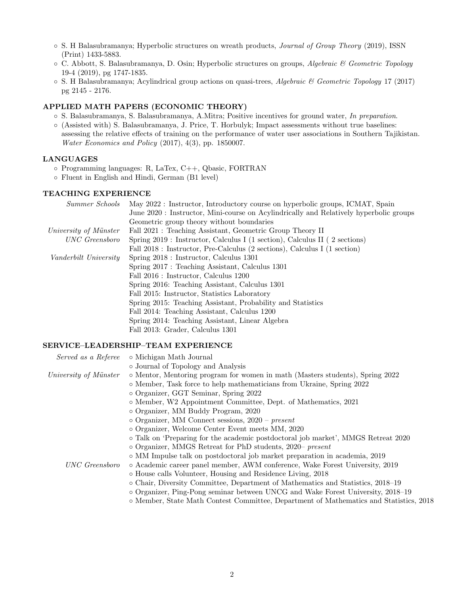- S. H Balasubramanya; Hyperbolic structures on wreath products, Journal of Group Theory (2019), ISSN (Print) 1433-5883.
- C. Abbott, S. Balasubramanya, D. Osin; Hyperbolic structures on groups, Algebraic & Geometric Topology 19-4 (2019), pg 1747-1835.
- $\circ$  S. H Balasubramanya; Acylindrical group actions on quasi-trees, Algebraic & Geometric Topology 17 (2017) pg 2145 - 2176.

## APPLIED MATH PAPERS (ECONOMIC THEORY)

- S. Balasubramanya, S. Balasubramanya, A.Mitra; Positive incentives for ground water, In preparation.
- (Assisted with) S. Balasubramanya, J. Price, T. Horbulyk; Impact assessments without true baselines: assessing the relative effects of training on the performance of water user associations in Southern Tajikistan. Water Economics and Policy (2017), 4(3), pp. 1850007.

## LANGUAGES

- Programming languages: R, LaTex, C++, Qbasic, FORTRAN
- Fluent in English and Hindi, German (B1 level)

## TEACHING EXPERIENCE

|                       | <i>Summer Schools</i> May 2022: Instructor, Introductory course on hyperbolic groups, ICMAT, Spain |
|-----------------------|----------------------------------------------------------------------------------------------------|
|                       | June 2020: Instructor, Mini-course on Acylindrically and Relatively hyperbolic groups              |
|                       | Geometric group theory without boundaries                                                          |
| University of Münster | Fall 2021 : Teaching Assistant, Geometric Group Theory II                                          |
| UNC Greensboro        | Spring 2019 : Instructor, Calculus I (1 section), Calculus II (2 sections)                         |
|                       | Fall 2018 : Instructor, Pre-Calculus (2 sections), Calculus I (1 section)                          |
| Vanderbilt University | Spring 2018 : Instructor, Calculus 1301                                                            |
|                       | Spring 2017 : Teaching Assistant, Calculus 1301                                                    |
|                       | Fall 2016 : Instructor, Calculus 1200                                                              |
|                       | Spring 2016: Teaching Assistant, Calculus 1301                                                     |
|                       | Fall 2015: Instructor, Statistics Laboratory                                                       |
|                       | Spring 2015: Teaching Assistant, Probability and Statistics                                        |
|                       | Fall 2014: Teaching Assistant, Calculus 1200                                                       |
|                       | Spring 2014: Teaching Assistant, Linear Algebra                                                    |
|                       | Fall 2013: Grader, Calculus 1301                                                                   |

## SERVICE–LEADERSHIP–TEAM EXPERIENCE

|                       | Served as a Referee . Michigan Math Journal                                            |
|-----------------------|----------------------------------------------------------------------------------------|
|                       | o Journal of Topology and Analysis                                                     |
| University of Münster | o Mentor, Mentoring program for women in math (Masters students), Spring 2022          |
|                       | o Member, Task force to help mathematicians from Ukraine, Spring 2022                  |
|                       | o Organizer, GGT Seminar, Spring 2022                                                  |
|                       | o Member, W2 Appointment Committee, Dept. of Mathematics, 2021                         |
|                       | o Organizer, MM Buddy Program, 2020                                                    |
|                       | $\circ$ Organizer, MM Connect sessions, 2020 – present                                 |
|                       | o Organizer, Welcome Center Event meets MM, 2020                                       |
|                       | o Talk on 'Preparing for the academic postdoctoral job market', MMGS Retreat 2020      |
|                       | $\circ$ Organizer, MMGS Retreat for PhD students, 2020– present                        |
|                       | $\circ$ MM Impulse talk on postdoctoral job market preparation in academia, 2019       |
| UNC Greensboro        | o Academic career panel member, AWM conference, Wake Forest University, 2019           |
|                       | o House calls Volunteer, Housing and Residence Living, 2018                            |
|                       | o Chair, Diversity Committee, Department of Mathematics and Statistics, 2018–19        |
|                       | $\circ$ Organizer, Ping-Pong seminar between UNCG and Wake Forest University, 2018–19  |
|                       | o Member, State Math Contest Committee, Department of Mathematics and Statistics, 2018 |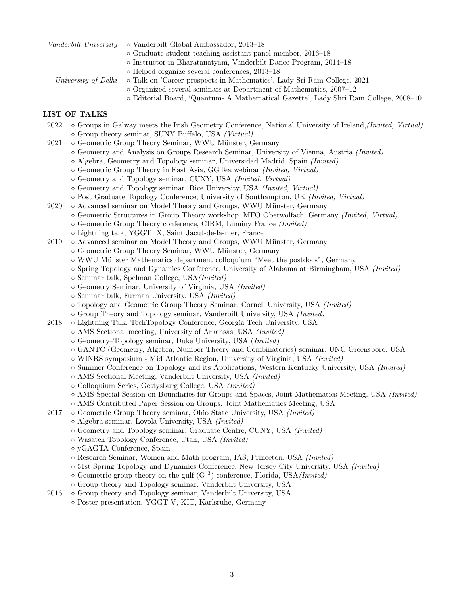|                     | <i>Vanderbilt University</i> $\circ$ Vanderbilt Global Ambassador, 2013–18           |
|---------------------|--------------------------------------------------------------------------------------|
|                     | $\circ$ Graduate student teaching assistant panel member, 2016–18                    |
|                     | $\circ$ Instructor in Bharatanatyam, Vanderbilt Dance Program, 2014–18               |
|                     | $\circ$ Helped organize several conferences, 2013–18                                 |
| University of Delhi | o Talk on 'Career prospects in Mathematics', Lady Sri Ram College, 2021              |
|                     | $\circ$ Organized several seminars at Department of Mathematics, 2007–12             |
|                     | o Editorial Board, 'Quantum- A Mathematical Gazette', Lady Shri Ram College, 2008–10 |

#### LIST OF TALKS

- 2022 Groups in Galway meets the Irish Geometry Conference, National University of Ireland, (Invited, Virtual) ◦ Group theory seminar, SUNY Buffalo, USA (Virtual)
- 2021  **Geometric Group Theory Seminar, WWU Münster, Germany** 
	- Geometry and Analysis on Groups Research Seminar, University of Vienna, Austria (Invited)
	- Algebra, Geometry and Topology seminar, Universidad Madrid, Spain (Invited)
	- Geometric Group Theory in East Asia, GGTea webinar (Invited, Virtual)
	- Geometry and Topology seminar, CUNY, USA (Invited, Virtual)
	- Geometry and Topology seminar, Rice University, USA (Invited, Virtual)
	- Post Graduate Topology Conference, University of Southampton, UK (Invited, Virtual)
- 2020 Advanced seminar on Model Theory and Groups, WWU Münster, Germany
	- Geometric Structures in Group Theory workshop, MFO Oberwolfach, Germany (Invited, Virtual)
	- Geometric Group Theory conference, CIRM, Luminy France (Invited)
	- Lightning talk, YGGT IX, Saint Jacut-de-la-mer, France
- 2019 Advanced seminar on Model Theory and Groups, WWU Münster, Germany
	- Geometric Group Theory Seminar, WWU M¨unster, Germany
	- WWU M¨unster Mathematics department colloquium "Meet the postdocs", Germany
	- Spring Topology and Dynamics Conference, University of Alabama at Birmingham, USA (Invited)
	- Seminar talk, Spelman College, USA(Invited)
	- Geometry Seminar, University of Virginia, USA (Invited)
	- Seminar talk, Furman University, USA (Invited)
	- Topology and Geometric Group Theory Seminar, Cornell University, USA (Invited)
	- Group Theory and Topology seminar, Vanderbilt University, USA (Invited)
- 2018 Lightning Talk, TechTopology Conference, Georgia Tech University, USA
	- AMS Sectional meeting, University of Arkansas, USA (Invited)
		- Geometry–Topology seminar, Duke University, USA (Invited)
		- GANTC (Geometry, Algebra, Number Theory and Combinatorics) seminar, UNC Greensboro, USA
		- WINRS symposium Mid Atlantic Region, University of Virginia, USA (Invited)
	- Summer Conference on Topology and its Applications, Western Kentucky University, USA (Invited)
	- AMS Sectional Meeting, Vanderbilt University, USA (Invited)
	- Colloquium Series, Gettysburg College, USA (Invited)
	- AMS Special Session on Boundaries for Groups and Spaces, Joint Mathematics Meeting, USA (Invited)
	- AMS Contributed Paper Session on Groups, Joint Mathematics Meeting, USA
- 2017 Geometric Group Theory seminar, Ohio State University, USA (Invited)
	- Algebra seminar, Loyola University, USA (Invited)
	- Geometry and Topology seminar, Graduate Centre, CUNY, USA (Invited)
	- Wasatch Topology Conference, Utah, USA (Invited)
	- yGAGTA Conference, Spain
	- Research Seminar, Women and Math program, IAS, Princeton, USA (Invited)
	- 51st Spring Topology and Dynamics Conference, New Jersey City University, USA (Invited)
	- $\circ$  Geometric group theory on the gulf (G<sup>3</sup>) conference, Florida, USA(*Invited*)
	- Group theory and Topology seminar, Vanderbilt University, USA
- 2016 Group theory and Topology seminar, Vanderbilt University, USA
	- Poster presentation, YGGT V, KIT, Karlsruhe, Germany